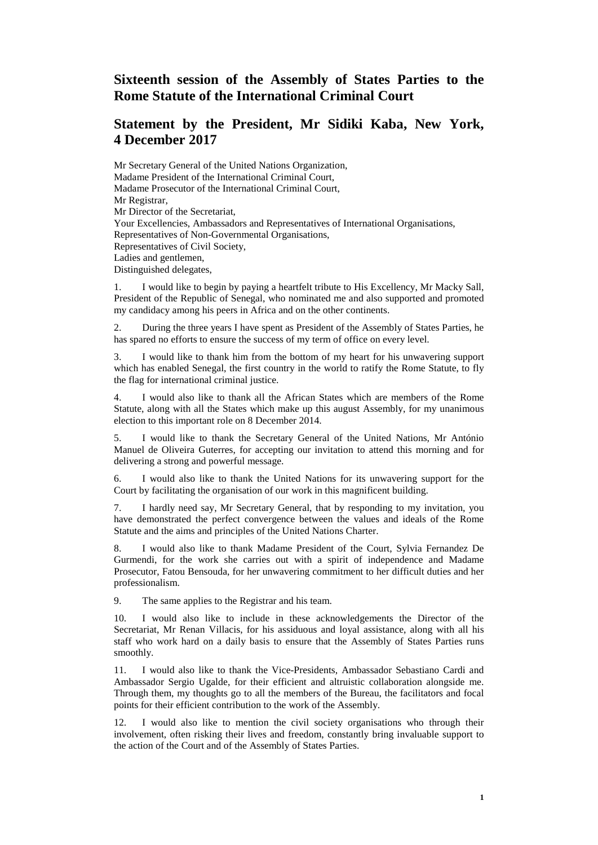## **Sixteenth session of the Assembly of States Parties to the Rome Statute of the International Criminal Court**

## **Statement by the President, Mr Sidiki Kaba, New York, 4 December 2017**

Mr Secretary General of the United Nations Organization, Madame President of the International Criminal Court, Madame Prosecutor of the International Criminal Court, Mr Registrar, Mr Director of the Secretariat, Your Excellencies, Ambassadors and Representatives of International Organisations, Representatives of Non-Governmental Organisations, Representatives of Civil Society, Ladies and gentlemen, Distinguished delegates,

1. I would like to begin by paying a heartfelt tribute to His Excellency, Mr Macky Sall, President of the Republic of Senegal, who nominated me and also supported and promoted my candidacy among his peers in Africa and on the other continents.

2. During the three years I have spent as President of the Assembly of States Parties, he has spared no efforts to ensure the success of my term of office on every level.

3. I would like to thank him from the bottom of my heart for his unwavering support which has enabled Senegal, the first country in the world to ratify the Rome Statute, to fly the flag for international criminal justice.

4. I would also like to thank all the African States which are members of the Rome Statute, along with all the States which make up this august Assembly, for my unanimous election to this important role on 8 December 2014.

5. I would like to thank the Secretary General of the United Nations, Mr António Manuel de Oliveira Guterres, for accepting our invitation to attend this morning and for delivering a strong and powerful message.

6. I would also like to thank the United Nations for its unwavering support for the Court by facilitating the organisation of our work in this magnificent building.

7. I hardly need say, Mr Secretary General, that by responding to my invitation, you have demonstrated the perfect convergence between the values and ideals of the Rome Statute and the aims and principles of the United Nations Charter.

8. I would also like to thank Madame President of the Court, Sylvia Fernandez De Gurmendi, for the work she carries out with a spirit of independence and Madame Prosecutor, Fatou Bensouda, for her unwavering commitment to her difficult duties and her professionalism.

9. The same applies to the Registrar and his team.

10. I would also like to include in these acknowledgements the Director of the Secretariat, Mr Renan Villacis, for his assiduous and loyal assistance, along with all his staff who work hard on a daily basis to ensure that the Assembly of States Parties runs smoothly.

11. I would also like to thank the Vice-Presidents, Ambassador Sebastiano Cardi and Ambassador Sergio Ugalde, for their efficient and altruistic collaboration alongside me. Through them, my thoughts go to all the members of the Bureau, the facilitators and focal points for their efficient contribution to the work of the Assembly.

12. I would also like to mention the civil society organisations who through their involvement, often risking their lives and freedom, constantly bring invaluable support to the action of the Court and of the Assembly of States Parties.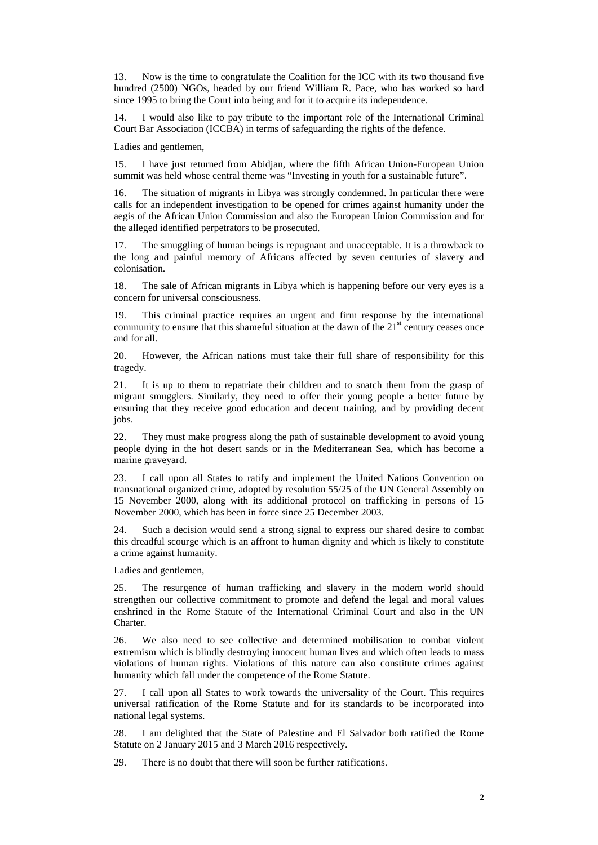13. Now is the time to congratulate the Coalition for the ICC with its two thousand five hundred (2500) NGOs, headed by our friend William R. Pace, who has worked so hard since 1995 to bring the Court into being and for it to acquire its independence.

14. I would also like to pay tribute to the important role of the International Criminal Court Bar Association (ICCBA) in terms of safeguarding the rights of the defence.

Ladies and gentlemen,

15. I have just returned from Abidjan, where the fifth African Union-European Union summit was held whose central theme was "Investing in youth for a sustainable future".

16. The situation of migrants in Libya was strongly condemned. In particular there were calls for an independent investigation to be opened for crimes against humanity under the aegis of the African Union Commission and also the European Union Commission and for the alleged identified perpetrators to be prosecuted.

17. The smuggling of human beings is repugnant and unacceptable. It is a throwback to the long and painful memory of Africans affected by seven centuries of slavery and colonisation.

18. The sale of African migrants in Libya which is happening before our very eyes is a concern for universal consciousness.

19. This criminal practice requires an urgent and firm response by the international community to ensure that this shameful situation at the dawn of the  $21<sup>st</sup>$  century ceases once and for all.

20. However, the African nations must take their full share of responsibility for this tragedy.

21. It is up to them to repatriate their children and to snatch them from the grasp of migrant smugglers. Similarly, they need to offer their young people a better future by ensuring that they receive good education and decent training, and by providing decent jobs.

22. They must make progress along the path of sustainable development to avoid young people dying in the hot desert sands or in the Mediterranean Sea, which has become a marine graveyard.

23. I call upon all States to ratify and implement the United Nations Convention on transnational organized crime, adopted by resolution 55/25 of the UN General Assembly on 15 November 2000, along with its additional protocol on trafficking in persons of 15 November 2000, which has been in force since 25 December 2003.

24. Such a decision would send a strong signal to express our shared desire to combat this dreadful scourge which is an affront to human dignity and which is likely to constitute a crime against humanity.

Ladies and gentlemen,

25. The resurgence of human trafficking and slavery in the modern world should strengthen our collective commitment to promote and defend the legal and moral values enshrined in the Rome Statute of the International Criminal Court and also in the UN **Charter** 

26. We also need to see collective and determined mobilisation to combat violent extremism which is blindly destroying innocent human lives and which often leads to mass violations of human rights. Violations of this nature can also constitute crimes against humanity which fall under the competence of the Rome Statute.

27. I call upon all States to work towards the universality of the Court. This requires universal ratification of the Rome Statute and for its standards to be incorporated into national legal systems.

28. I am delighted that the State of Palestine and El Salvador both ratified the Rome Statute on 2 January 2015 and 3 March 2016 respectively.

29. There is no doubt that there will soon be further ratifications.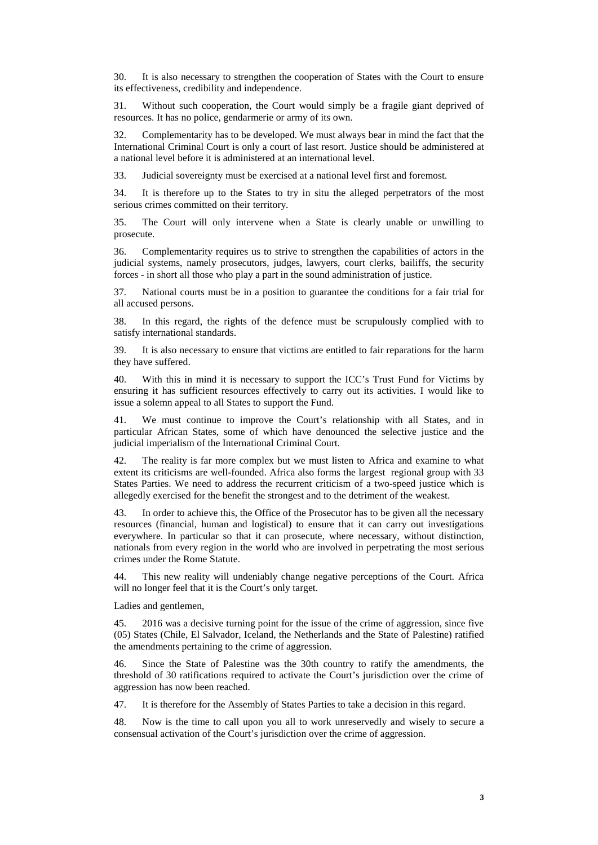30. It is also necessary to strengthen the cooperation of States with the Court to ensure its effectiveness, credibility and independence.

31. Without such cooperation, the Court would simply be a fragile giant deprived of resources. It has no police, gendarmerie or army of its own.

32. Complementarity has to be developed. We must always bear in mind the fact that the International Criminal Court is only a court of last resort. Justice should be administered at a national level before it is administered at an international level.

33. Judicial sovereignty must be exercised at a national level first and foremost.

34. It is therefore up to the States to try in situ the alleged perpetrators of the most serious crimes committed on their territory.

35. The Court will only intervene when a State is clearly unable or unwilling to prosecute.

36. Complementarity requires us to strive to strengthen the capabilities of actors in the judicial systems, namely prosecutors, judges, lawyers, court clerks, bailiffs, the security forces - in short all those who play a part in the sound administration of justice.

37. National courts must be in a position to guarantee the conditions for a fair trial for all accused persons.

38. In this regard, the rights of the defence must be scrupulously complied with to satisfy international standards.

39. It is also necessary to ensure that victims are entitled to fair reparations for the harm they have suffered.

40. With this in mind it is necessary to support the ICC's Trust Fund for Victims by ensuring it has sufficient resources effectively to carry out its activities. I would like to issue a solemn appeal to all States to support the Fund.

41. We must continue to improve the Court's relationship with all States, and in particular African States, some of which have denounced the selective justice and the judicial imperialism of the International Criminal Court.

42. The reality is far more complex but we must listen to Africa and examine to what extent its criticisms are well-founded. Africa also forms the largest regional group with 33 States Parties. We need to address the recurrent criticism of a two-speed justice which is allegedly exercised for the benefit the strongest and to the detriment of the weakest.

43. In order to achieve this, the Office of the Prosecutor has to be given all the necessary resources (financial, human and logistical) to ensure that it can carry out investigations everywhere. In particular so that it can prosecute, where necessary, without distinction, nationals from every region in the world who are involved in perpetrating the most serious crimes under the Rome Statute.

44. This new reality will undeniably change negative perceptions of the Court. Africa will no longer feel that it is the Court's only target.

Ladies and gentlemen,

45. 2016 was a decisive turning point for the issue of the crime of aggression, since five (05) States (Chile, El Salvador, Iceland, the Netherlands and the State of Palestine) ratified the amendments pertaining to the crime of aggression.

46. Since the State of Palestine was the 30th country to ratify the amendments, the threshold of 30 ratifications required to activate the Court's jurisdiction over the crime of aggression has now been reached.

47. It is therefore for the Assembly of States Parties to take a decision in this regard.

48. Now is the time to call upon you all to work unreservedly and wisely to secure a consensual activation of the Court's jurisdiction over the crime of aggression.